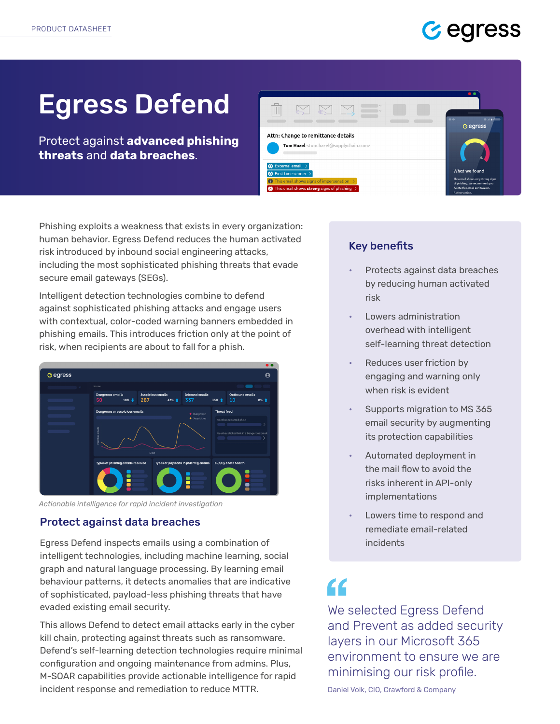# Gegress

# Egress Defend

Protect against **advanced phishing threats** and **data breaches**.



Phishing exploits a weakness that exists in every organization: human behavior. Egress Defend reduces the human activated risk introduced by inbound social engineering attacks, including the most sophisticated phishing threats that evade secure email gateways (SEGs).

Intelligent detection technologies combine to defend against sophisticated phishing attacks and engage users with contextual, color-coded warning banners embedded in phishing emails. This introduces friction only at the point of risk, when recipients are about to fall for a phish.



*Actionable intelligence for rapid incident investigation*

### Protect against data breaches

Egress Defend inspects emails using a combination of intelligent technologies, including machine learning, social graph and natural language processing. By learning email behaviour patterns, it detects anomalies that are indicative of sophisticated, payload-less phishing threats that have evaded existing email security.

This allows Defend to detect email attacks early in the cyber kill chain, protecting against threats such as ransomware. Defend's self-learning detection technologies require minimal configuration and ongoing maintenance from admins. Plus, M-SOAR capabilities provide actionable intelligence for rapid incident response and remediation to reduce MTTR.

### Key benefits

- Protects against data breaches by reducing human activated risk
- Lowers administration overhead with intelligent self-learning threat detection
- Reduces user friction by engaging and warning only when risk is evident
- Supports migration to MS 365 email security by augmenting its protection capabilities
- Automated deployment in the mail flow to avoid the risks inherent in API-only implementations
- Lowers time to respond and remediate email-related incidents

# $\epsilon$

We selected Egress Defend and Prevent as added security layers in our Microsoft 365 environment to ensure we are minimising our risk profile.